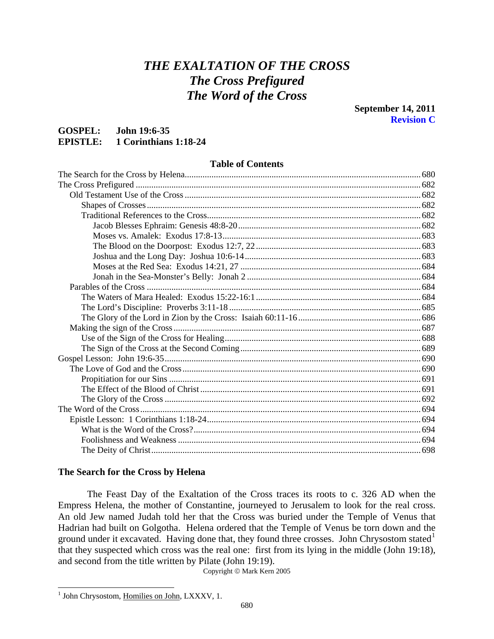# *THE EXALTATION OF THE CROSS The Cross Prefigured The Word of the Cross*

# <span id="page-0-0"></span>**GOSPEL: John 19:6-35 EPISTLE: 1 Corinthians 1:18-24**

# **Table of Contents**

# **The Search for the Cross by Helena**

 The Feast Day of the Exaltation of the Cross traces its roots to c. 326 AD when the Empress Helena, the mother of Constantine, journeyed to Jerusalem to look for the real cross. An old Jew named Judah told her that the Cross was buried under the Temple of Venus that Hadrian had built on Golgotha. Helena ordered that the Temple of Venus be torn down and the ground under it excavated. Having done that, they found three crosses. John Chrysostom stated<sup>[1](#page-0-1)</sup> that they suspected which cross was the real one: first from its lying in the middle (John 19:18), and second from the title written by Pilate (John 19:19).

Copyright © Mark Kern 2005

<span id="page-0-1"></span><sup>&</sup>lt;sup>1</sup> John Chrysostom, Homilies on John, LXXXV, 1.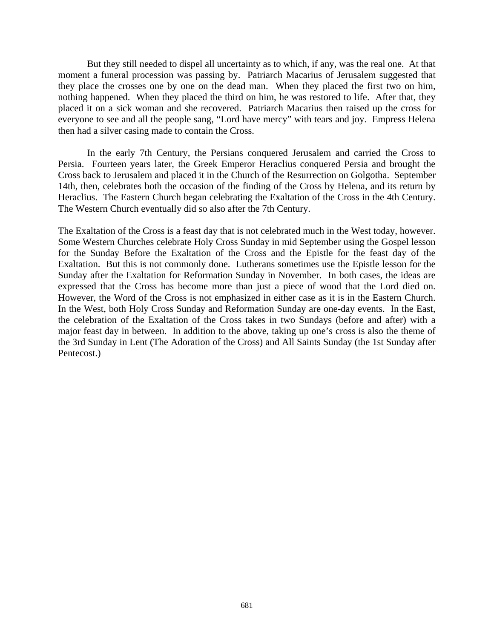But they still needed to dispel all uncertainty as to which, if any, was the real one. At that moment a funeral procession was passing by. Patriarch Macarius of Jerusalem suggested that they place the crosses one by one on the dead man. When they placed the first two on him, nothing happened. When they placed the third on him, he was restored to life. After that, they placed it on a sick woman and she recovered. Patriarch Macarius then raised up the cross for everyone to see and all the people sang, "Lord have mercy" with tears and joy. Empress Helena then had a silver casing made to contain the Cross.

 In the early 7th Century, the Persians conquered Jerusalem and carried the Cross to Persia. Fourteen years later, the Greek Emperor Heraclius conquered Persia and brought the Cross back to Jerusalem and placed it in the Church of the Resurrection on Golgotha. September 14th, then, celebrates both the occasion of the finding of the Cross by Helena, and its return by Heraclius. The Eastern Church began celebrating the Exaltation of the Cross in the 4th Century. The Western Church eventually did so also after the 7th Century.

The Exaltation of the Cross is a feast day that is not celebrated much in the West today, however. Some Western Churches celebrate Holy Cross Sunday in mid September using the Gospel lesson for the Sunday Before the Exaltation of the Cross and the Epistle for the feast day of the Exaltation. But this is not commonly done. Lutherans sometimes use the Epistle lesson for the Sunday after the Exaltation for Reformation Sunday in November. In both cases, the ideas are expressed that the Cross has become more than just a piece of wood that the Lord died on. However, the Word of the Cross is not emphasized in either case as it is in the Eastern Church. In the West, both Holy Cross Sunday and Reformation Sunday are one-day events. In the East, the celebration of the Exaltation of the Cross takes in two Sundays (before and after) with a major feast day in between. In addition to the above, taking up one's cross is also the theme of the 3rd Sunday in Lent (The Adoration of the Cross) and All Saints Sunday (the 1st Sunday after Pentecost.)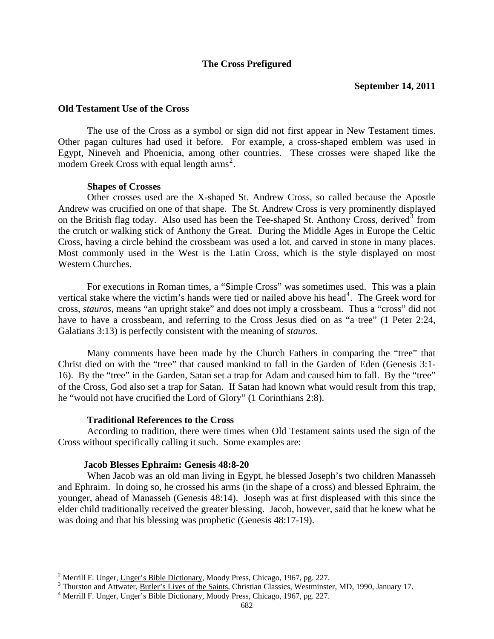# **The Cross Prefigured**

## <span id="page-2-0"></span>**Old Testament Use of the Cross**

 The use of the Cross as a symbol or sign did not first appear in New Testament times. Other pagan cultures had used it before. For example, a cross-shaped emblem was used in Egypt, Nineveh and Phoenicia, among other countries. These crosses were shaped like the modern Greek Cross with equal length  $\text{arms}^2$  $\text{arms}^2$ .

## **Shapes of Crosses**

Other crosses used are the X-shaped St. Andrew Cross, so called because the Apostle Andrew was crucified on one of that shape. The St. Andrew Cross is very prominently displayed on the British flag today. Also used has been the Tee-shaped St. Anthony Cross, derived<sup>[3](#page-2-2)</sup> from the crutch or walking stick of Anthony the Great. During the Middle Ages in Europe the Celtic Cross, having a circle behind the crossbeam was used a lot, and carved in stone in many places. Most commonly used in the West is the Latin Cross, which is the style displayed on most Western Churches.

For executions in Roman times, a "Simple Cross" was sometimes used. This was a plain vertical stake where the victim's hands were tied or nailed above his head<sup>[4](#page-2-3)</sup>. The Greek word for cross, *stauros*, means "an upright stake" and does not imply a crossbeam. Thus a "cross" did not have to have a crossbeam, and referring to the Cross Jesus died on as "a tree" (1 Peter 2:24, Galatians 3:13) is perfectly consistent with the meaning of *stauros.*

Many comments have been made by the Church Fathers in comparing the "tree" that Christ died on with the "tree" that caused mankind to fall in the Garden of Eden (Genesis 3:1- 16). By the "tree" in the Garden, Satan set a trap for Adam and caused him to fall. By the "tree" of the Cross, God also set a trap for Satan. If Satan had known what would result from this trap, he "would not have crucified the Lord of Glory" (1 Corinthians 2:8).

# **Traditional References to the Cross**

 According to tradition, there were times when Old Testament saints used the sign of the Cross without specifically calling it such. Some examples are:

# **Jacob Blesses Ephraim: Genesis 48:8-20**

 $\overline{a}$ 

When Jacob was an old man living in Egypt, he blessed Joseph's two children Manasseh and Ephraim. In doing so, he crossed his arms (in the shape of a cross) and blessed Ephraim, the younger, ahead of Manasseh (Genesis 48:14). Joseph was at first displeased with this since the elder child traditionally received the greater blessing. Jacob, however, said that he knew what he was doing and that his blessing was prophetic (Genesis 48:17-19).

<span id="page-2-1"></span><sup>&</sup>lt;sup>2</sup> Merrill F. Unger, <u>Unger's Bible Dictionary</u>, Moody Press, Chicago, 1967, pg. 227.<br><sup>3</sup> Thurston and Attuster, Butlor's Lives of the Seints, Christian Cleasies, Westminster

<span id="page-2-2"></span><sup>&</sup>lt;sup>3</sup> Thurston and Attwater, Butler's Lives of the Saints, Christian Classics, Westminster, MD, 1990, January 17.

<span id="page-2-3"></span><sup>&</sup>lt;sup>4</sup> Merrill F. Unger, Unger's Bible Dictionary, Moody Press, Chicago, 1967, pg. 227.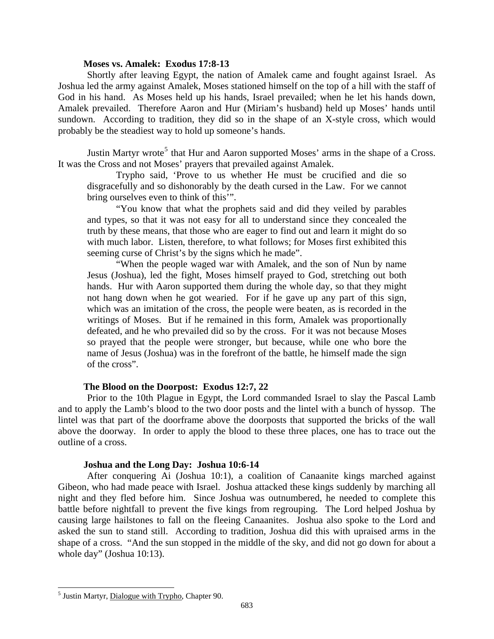# **Moses vs. Amalek: Exodus 17:8-13**

<span id="page-3-0"></span>Shortly after leaving Egypt, the nation of Amalek came and fought against Israel. As Joshua led the army against Amalek, Moses stationed himself on the top of a hill with the staff of God in his hand. As Moses held up his hands, Israel prevailed; when he let his hands down, Amalek prevailed. Therefore Aaron and Hur (Miriam's husband) held up Moses' hands until sundown. According to tradition, they did so in the shape of an X-style cross, which would probably be the steadiest way to hold up someone's hands.

Justin Martyr wrote<sup>[5](#page-3-1)</sup> that Hur and Aaron supported Moses' arms in the shape of a Cross. It was the Cross and not Moses' prayers that prevailed against Amalek.

Trypho said, 'Prove to us whether He must be crucified and die so disgracefully and so dishonorably by the death cursed in the Law. For we cannot bring ourselves even to think of this'".

"You know that what the prophets said and did they veiled by parables and types, so that it was not easy for all to understand since they concealed the truth by these means, that those who are eager to find out and learn it might do so with much labor. Listen, therefore, to what follows; for Moses first exhibited this seeming curse of Christ's by the signs which he made".

"When the people waged war with Amalek, and the son of Nun by name Jesus (Joshua), led the fight, Moses himself prayed to God, stretching out both hands. Hur with Aaron supported them during the whole day, so that they might not hang down when he got wearied. For if he gave up any part of this sign, which was an imitation of the cross, the people were beaten, as is recorded in the writings of Moses. But if he remained in this form, Amalek was proportionally defeated, and he who prevailed did so by the cross. For it was not because Moses so prayed that the people were stronger, but because, while one who bore the name of Jesus (Joshua) was in the forefront of the battle, he himself made the sign of the cross".

# **The Blood on the Doorpost: Exodus 12:7, 22**

Prior to the 10th Plague in Egypt, the Lord commanded Israel to slay the Pascal Lamb and to apply the Lamb's blood to the two door posts and the lintel with a bunch of hyssop. The lintel was that part of the doorframe above the doorposts that supported the bricks of the wall above the doorway. In order to apply the blood to these three places, one has to trace out the outline of a cross.

#### **Joshua and the Long Day: Joshua 10:6-14**

After conquering Ai (Joshua 10:1), a coalition of Canaanite kings marched against Gibeon, who had made peace with Israel. Joshua attacked these kings suddenly by marching all night and they fled before him. Since Joshua was outnumbered, he needed to complete this battle before nightfall to prevent the five kings from regrouping. The Lord helped Joshua by causing large hailstones to fall on the fleeing Canaanites. Joshua also spoke to the Lord and asked the sun to stand still. According to tradition, Joshua did this with upraised arms in the shape of a cross. "And the sun stopped in the middle of the sky, and did not go down for about a whole day" (Joshua 10:13).

<span id="page-3-1"></span> $<sup>5</sup>$  Justin Martyr, Dialogue with Trypho, Chapter 90.</sup>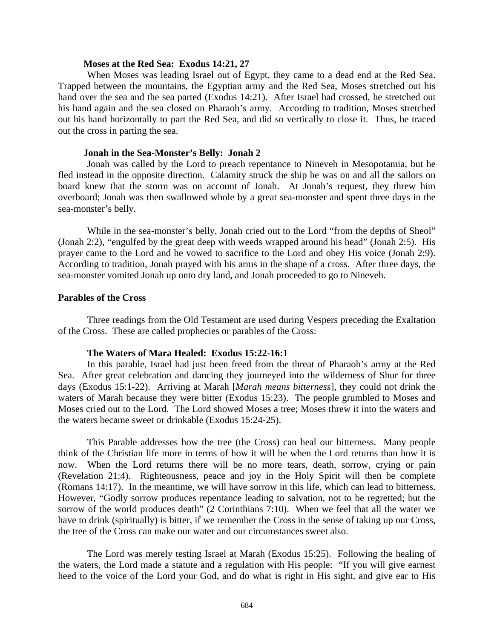## **Moses at the Red Sea: Exodus 14:21, 27**

<span id="page-4-0"></span>When Moses was leading Israel out of Egypt, they came to a dead end at the Red Sea. Trapped between the mountains, the Egyptian army and the Red Sea, Moses stretched out his hand over the sea and the sea parted (Exodus 14:21). After Israel had crossed, he stretched out his hand again and the sea closed on Pharaoh's army. According to tradition, Moses stretched out his hand horizontally to part the Red Sea, and did so vertically to close it. Thus, he traced out the cross in parting the sea.

## **Jonah in the Sea-Monster's Belly: Jonah 2**

Jonah was called by the Lord to preach repentance to Nineveh in Mesopotamia, but he fled instead in the opposite direction. Calamity struck the ship he was on and all the sailors on board knew that the storm was on account of Jonah. At Jonah's request, they threw him overboard; Jonah was then swallowed whole by a great sea-monster and spent three days in the sea-monster's belly.

While in the sea-monster's belly, Jonah cried out to the Lord "from the depths of Sheol" (Jonah 2:2), "engulfed by the great deep with weeds wrapped around his head" (Jonah 2:5). His prayer came to the Lord and he vowed to sacrifice to the Lord and obey His voice (Jonah 2:9). According to tradition, Jonah prayed with his arms in the shape of a cross. After three days, the sea-monster vomited Jonah up onto dry land, and Jonah proceeded to go to Nineveh.

# **Parables of the Cross**

 Three readings from the Old Testament are used during Vespers preceding the Exaltation of the Cross. These are called prophecies or parables of the Cross:

#### **The Waters of Mara Healed: Exodus 15:22-16:1**

In this parable, Israel had just been freed from the threat of Pharaoh's army at the Red Sea. After great celebration and dancing they journeyed into the wilderness of Shur for three days (Exodus 15:1-22). Arriving at Marah [*Marah means bitterness*], they could not drink the waters of Marah because they were bitter (Exodus 15:23). The people grumbled to Moses and Moses cried out to the Lord. The Lord showed Moses a tree; Moses threw it into the waters and the waters became sweet or drinkable (Exodus 15:24-25).

This Parable addresses how the tree (the Cross) can heal our bitterness. Many people think of the Christian life more in terms of how it will be when the Lord returns than how it is now. When the Lord returns there will be no more tears, death, sorrow, crying or pain (Revelation 21:4). Righteousness, peace and joy in the Holy Spirit will then be complete (Romans 14:17). In the meantime, we will have sorrow in this life, which can lead to bitterness. However, "Godly sorrow produces repentance leading to salvation, not to be regretted; but the sorrow of the world produces death" (2 Corinthians 7:10). When we feel that all the water we have to drink (spiritually) is bitter, if we remember the Cross in the sense of taking up our Cross, the tree of the Cross can make our water and our circumstances sweet also.

The Lord was merely testing Israel at Marah (Exodus 15:25). Following the healing of the waters, the Lord made a statute and a regulation with His people: "If you will give earnest heed to the voice of the Lord your God, and do what is right in His sight, and give ear to His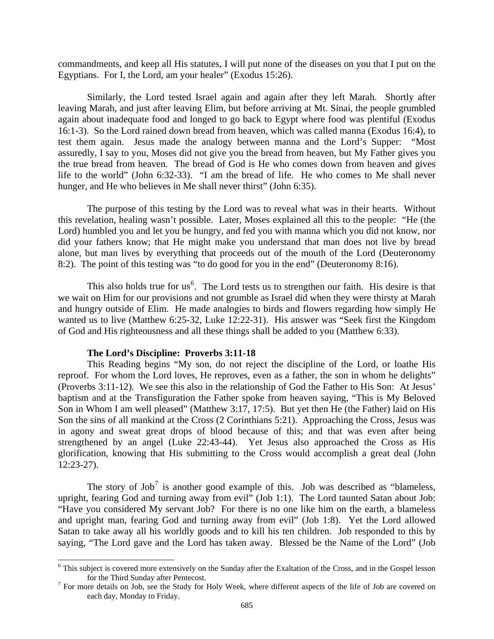<span id="page-5-0"></span>commandments, and keep all His statutes, I will put none of the diseases on you that I put on the Egyptians. For I, the Lord, am your healer" (Exodus 15:26).

Similarly, the Lord tested Israel again and again after they left Marah. Shortly after leaving Marah, and just after leaving Elim, but before arriving at Mt. Sinai, the people grumbled again about inadequate food and longed to go back to Egypt where food was plentiful (Exodus 16:1-3). So the Lord rained down bread from heaven, which was called manna (Exodus 16:4), to test them again. Jesus made the analogy between manna and the Lord's Supper: "Most assuredly, I say to you, Moses did not give you the bread from heaven, but My Father gives you the true bread from heaven. The bread of God is He who comes down from heaven and gives life to the world" (John 6:32-33). "I am the bread of life. He who comes to Me shall never hunger, and He who believes in Me shall never thirst" (John 6:35).

The purpose of this testing by the Lord was to reveal what was in their hearts. Without this revelation, healing wasn't possible. Later, Moses explained all this to the people: "He (the Lord) humbled you and let you be hungry, and fed you with manna which you did not know, nor did your fathers know; that He might make you understand that man does not live by bread alone, but man lives by everything that proceeds out of the mouth of the Lord (Deuteronomy 8:2). The point of this testing was "to do good for you in the end" (Deuteronomy 8:16).

This also holds true for us<sup>[6](#page-5-1)</sup>. The Lord tests us to strengthen our faith. His desire is that we wait on Him for our provisions and not grumble as Israel did when they were thirsty at Marah and hungry outside of Elim. He made analogies to birds and flowers regarding how simply He wanted us to live (Matthew 6:25-32, Luke 12:22-31). His answer was "Seek first the Kingdom of God and His righteousness and all these things shall be added to you (Matthew 6:33).

#### **The Lord's Discipline: Proverbs 3:11-18**

 $\overline{a}$ 

This Reading begins "My son, do not reject the discipline of the Lord, or loathe His reproof. For whom the Lord loves, He reproves, even as a father, the son in whom he delights" (Proverbs 3:11-12). We see this also in the relationship of God the Father to His Son: At Jesus' baptism and at the Transfiguration the Father spoke from heaven saying, "This is My Beloved Son in Whom I am well pleased" (Matthew 3:17, 17:5). But yet then He (the Father) laid on His Son the sins of all mankind at the Cross (2 Corinthians 5:21). Approaching the Cross, Jesus was in agony and sweat great drops of blood because of this; and that was even after being strengthened by an angel (Luke 22:43-44). Yet Jesus also approached the Cross as His glorification, knowing that His submitting to the Cross would accomplish a great deal (John 12:23-27).

The story of Job<sup>[7](#page-5-2)</sup> is another good example of this. Job was described as "blameless, upright, fearing God and turning away from evil<sup>7</sup> (Job 1:1). The Lord taunted Satan about Job: "Have you considered My servant Job? For there is no one like him on the earth, a blameless and upright man, fearing God and turning away from evil" (Job 1:8). Yet the Lord allowed Satan to take away all his worldly goods and to kill his ten children. Job responded to this by saying, "The Lord gave and the Lord has taken away. Blessed be the Name of the Lord" (Job

<span id="page-5-1"></span><sup>&</sup>lt;sup>6</sup> This subject is covered more extensively on the Sunday after the Exaltation of the Cross, and in the Gospel lesson for the Third Sunday after Pentecost.

<span id="page-5-2"></span><sup>&</sup>lt;sup>7</sup> For more details on Job, see the Study for Holy Week, where different aspects of the life of Job are covered on each day, Monday to Friday.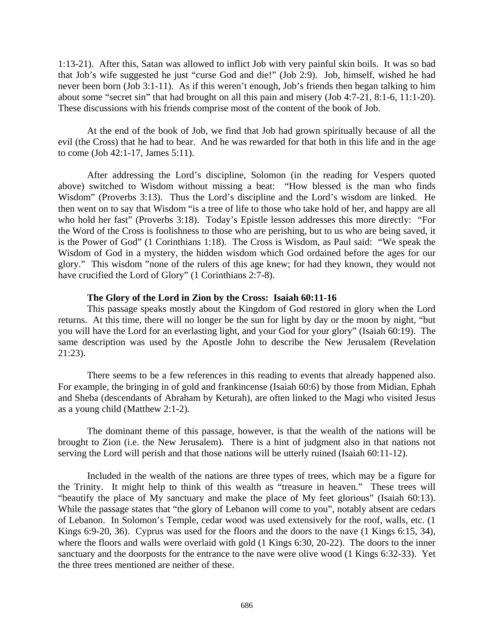<span id="page-6-0"></span>1:13-21). After this, Satan was allowed to inflict Job with very painful skin boils. It was so bad that Job's wife suggested he just "curse God and die!" (Job 2:9). Job, himself, wished he had never been born (Job 3:1-11). As if this weren't enough, Job's friends then began talking to him about some "secret sin" that had brought on all this pain and misery (Job 4:7-21, 8:1-6, 11:1-20). These discussions with his friends comprise most of the content of the book of Job.

At the end of the book of Job, we find that Job had grown spiritually because of all the evil (the Cross) that he had to bear. And he was rewarded for that both in this life and in the age to come (Job 42:1-17, James 5:11).

After addressing the Lord's discipline, Solomon (in the reading for Vespers quoted above) switched to Wisdom without missing a beat: "How blessed is the man who finds Wisdom" (Proverbs 3:13). Thus the Lord's discipline and the Lord's wisdom are linked. He then went on to say that Wisdom "is a tree of life to those who take hold of her, and happy are all who hold her fast" (Proverbs 3:18). Today's Epistle lesson addresses this more directly: "For the Word of the Cross is foolishness to those who are perishing, but to us who are being saved, it is the Power of God" (1 Corinthians 1:18). The Cross is Wisdom, as Paul said: "We speak the Wisdom of God in a mystery, the hidden wisdom which God ordained before the ages for our glory." This wisdom "none of the rulers of this age knew; for had they known, they would not have crucified the Lord of Glory" (1 Corinthians 2:7-8).

# **The Glory of the Lord in Zion by the Cross: Isaiah 60:11-16**

This passage speaks mostly about the Kingdom of God restored in glory when the Lord returns. At this time, there will no longer be the sun for light by day or the moon by night, "but you will have the Lord for an everlasting light, and your God for your glory" (Isaiah 60:19). The same description was used by the Apostle John to describe the New Jerusalem (Revelation 21:23).

There seems to be a few references in this reading to events that already happened also. For example, the bringing in of gold and frankincense (Isaiah 60:6) by those from Midian, Ephah and Sheba (descendants of Abraham by Keturah), are often linked to the Magi who visited Jesus as a young child (Matthew 2:1-2).

The dominant theme of this passage, however, is that the wealth of the nations will be brought to Zion (i.e. the New Jerusalem). There is a hint of judgment also in that nations not serving the Lord will perish and that those nations will be utterly ruined (Isaiah 60:11-12).

Included in the wealth of the nations are three types of trees, which may be a figure for the Trinity. It might help to think of this wealth as "treasure in heaven." These trees will "beautify the place of My sanctuary and make the place of My feet glorious" (Isaiah 60:13). While the passage states that "the glory of Lebanon will come to you", notably absent are cedars of Lebanon. In Solomon's Temple, cedar wood was used extensively for the roof, walls, etc. (1 Kings 6:9-20, 36). Cyprus was used for the floors and the doors to the nave (1 Kings 6:15, 34), where the floors and walls were overlaid with gold (1 Kings 6:30, 20-22). The doors to the inner sanctuary and the doorposts for the entrance to the nave were olive wood (1 Kings 6:32-33). Yet the three trees mentioned are neither of these.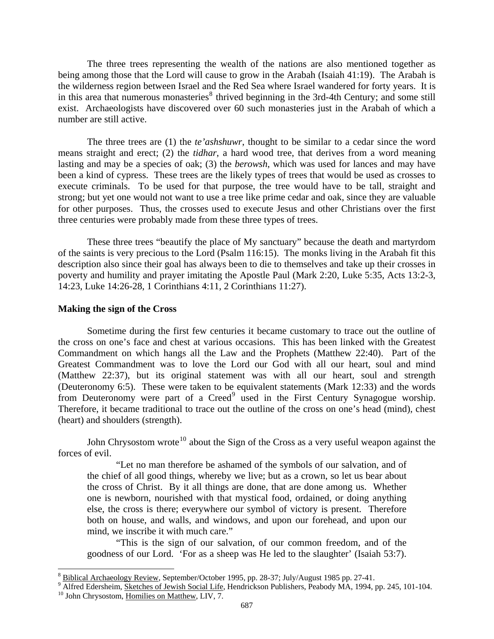<span id="page-7-0"></span>The three trees representing the wealth of the nations are also mentioned together as being among those that the Lord will cause to grow in the Arabah (Isaiah 41:19). The Arabah is the wilderness region between Israel and the Red Sea where Israel wandered for forty years. It is in this area that numerous monasteries $8$  thrived beginning in the 3rd-4th Century; and some still exist. Archaeologists have discovered over 60 such monasteries just in the Arabah of which a number are still active.

The three trees are (1) the *te'ashshuwr*, thought to be similar to a cedar since the word means straight and erect; (2) the *tidhar*, a hard wood tree, that derives from a word meaning lasting and may be a species of oak; (3) the *berowsh*, which was used for lances and may have been a kind of cypress. These trees are the likely types of trees that would be used as crosses to execute criminals. To be used for that purpose, the tree would have to be tall, straight and strong; but yet one would not want to use a tree like prime cedar and oak, since they are valuable for other purposes. Thus, the crosses used to execute Jesus and other Christians over the first three centuries were probably made from these three types of trees.

These three trees "beautify the place of My sanctuary" because the death and martyrdom of the saints is very precious to the Lord (Psalm 116:15). The monks living in the Arabah fit this description also since their goal has always been to die to themselves and take up their crosses in poverty and humility and prayer imitating the Apostle Paul (Mark 2:20, Luke 5:35, Acts 13:2-3, 14:23, Luke 14:26-28, 1 Corinthians 4:11, 2 Corinthians 11:27).

#### **Making the sign of the Cross**

Sometime during the first few centuries it became customary to trace out the outline of the cross on one's face and chest at various occasions. This has been linked with the Greatest Commandment on which hangs all the Law and the Prophets (Matthew 22:40). Part of the Greatest Commandment was to love the Lord our God with all our heart, soul and mind (Matthew 22:37), but its original statement was with all our heart, soul and strength (Deuteronomy 6:5). These were taken to be equivalent statements (Mark 12:33) and the words from Deuteronomy were part of a Creed<sup>[9](#page-7-2)</sup> used in the First Century Synagogue worship. Therefore, it became traditional to trace out the outline of the cross on one's head (mind), chest (heart) and shoulders (strength).

John Chrysostom wrote<sup>[10](#page-7-3)</sup> about the Sign of the Cross as a very useful weapon against the forces of evil.

"Let no man therefore be ashamed of the symbols of our salvation, and of the chief of all good things, whereby we live; but as a crown, so let us bear about the cross of Christ. By it all things are done, that are done among us. Whether one is newborn, nourished with that mystical food, ordained, or doing anything else, the cross is there; everywhere our symbol of victory is present. Therefore both on house, and walls, and windows, and upon our forehead, and upon our mind, we inscribe it with much care."

"This is the sign of our salvation, of our common freedom, and of the goodness of our Lord. 'For as a sheep was He led to the slaughter' (Isaiah 53:7).

<span id="page-7-1"></span><sup>8</sup> Biblical Archaeology Review, September/October 1995, pp. 28-37; July/August 1985 pp. 27-41. 9

<span id="page-7-2"></span><sup>&</sup>lt;sup>9</sup> Alfred Edersheim, Sketches of Jewish Social Life, Hendrickson Publishers, Peabody MA, 1994, pp. 245, 101-104. <sup>10</sup> John Chrysostom, Homilies on Matthew, LIV, 7.

<span id="page-7-3"></span>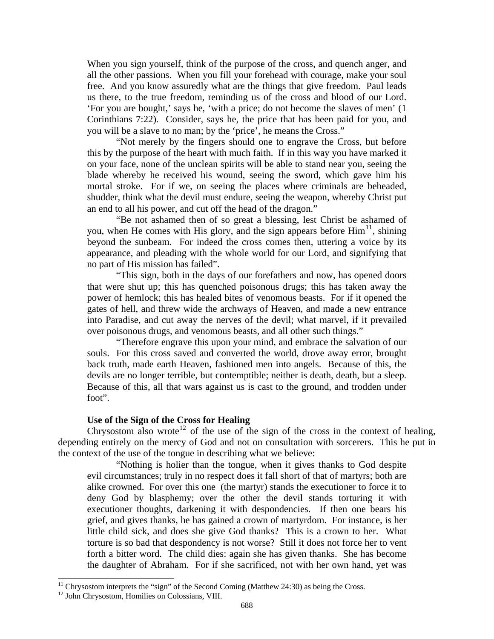<span id="page-8-0"></span>When you sign yourself, think of the purpose of the cross, and quench anger, and all the other passions. When you fill your forehead with courage, make your soul free. And you know assuredly what are the things that give freedom. Paul leads us there, to the true freedom, reminding us of the cross and blood of our Lord. 'For you are bought,' says he, 'with a price; do not become the slaves of men' (1 Corinthians 7:22). Consider, says he, the price that has been paid for you, and you will be a slave to no man; by the 'price', he means the Cross."

"Not merely by the fingers should one to engrave the Cross, but before this by the purpose of the heart with much faith. If in this way you have marked it on your face, none of the unclean spirits will be able to stand near you, seeing the blade whereby he received his wound, seeing the sword, which gave him his mortal stroke. For if we, on seeing the places where criminals are beheaded, shudder, think what the devil must endure, seeing the weapon, whereby Christ put an end to all his power, and cut off the head of the dragon."

"Be not ashamed then of so great a blessing, lest Christ be ashamed of you, when He comes with His glory, and the sign appears before  $\text{Him}^{11}$  $\text{Him}^{11}$  $\text{Him}^{11}$ , shining beyond the sunbeam. For indeed the cross comes then, uttering a voice by its appearance, and pleading with the whole world for our Lord, and signifying that no part of His mission has failed".

"This sign, both in the days of our forefathers and now, has opened doors that were shut up; this has quenched poisonous drugs; this has taken away the power of hemlock; this has healed bites of venomous beasts. For if it opened the gates of hell, and threw wide the archways of Heaven, and made a new entrance into Paradise, and cut away the nerves of the devil; what marvel, if it prevailed over poisonous drugs, and venomous beasts, and all other such things."

"Therefore engrave this upon your mind, and embrace the salvation of our souls. For this cross saved and converted the world, drove away error, brought back truth, made earth Heaven, fashioned men into angels. Because of this, the devils are no longer terrible, but contemptible; neither is death, death, but a sleep. Because of this, all that wars against us is cast to the ground, and trodden under foot".

# **Use of the Sign of the Cross for Healing**

Chrysostom also wrote<sup>[12](#page-8-2)</sup> of the use of the sign of the cross in the context of healing, depending entirely on the mercy of God and not on consultation with sorcerers. This he put in the context of the use of the tongue in describing what we believe:

"Nothing is holier than the tongue, when it gives thanks to God despite evil circumstances; truly in no respect does it fall short of that of martyrs; both are alike crowned. For over this one (the martyr) stands the executioner to force it to deny God by blasphemy; over the other the devil stands torturing it with executioner thoughts, darkening it with despondencies. If then one bears his grief, and gives thanks, he has gained a crown of martyrdom. For instance, is her little child sick, and does she give God thanks? This is a crown to her. What torture is so bad that despondency is not worse? Still it does not force her to vent forth a bitter word. The child dies: again she has given thanks. She has become the daughter of Abraham. For if she sacrificed, not with her own hand, yet was

l

 $11$  Chrysostom interprets the "sign" of the Second Coming (Matthew 24:30) as being the Cross.

<span id="page-8-2"></span><span id="page-8-1"></span><sup>&</sup>lt;sup>12</sup> John Chrysostom, Homilies on Colossians, VIII.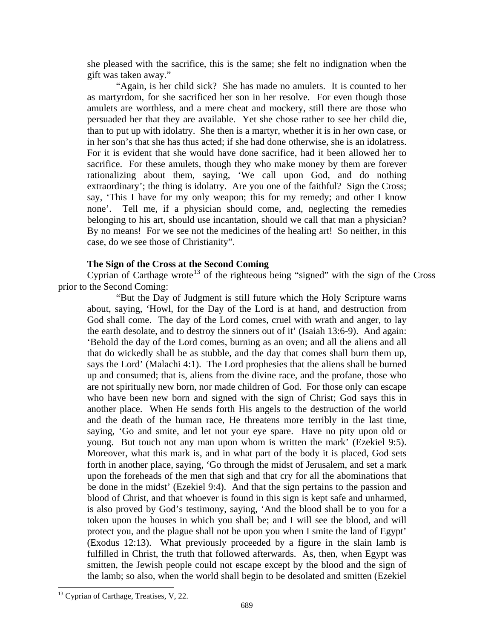<span id="page-9-0"></span>she pleased with the sacrifice, this is the same; she felt no indignation when the gift was taken away."

"Again, is her child sick? She has made no amulets. It is counted to her as martyrdom, for she sacrificed her son in her resolve. For even though those amulets are worthless, and a mere cheat and mockery, still there are those who persuaded her that they are available. Yet she chose rather to see her child die, than to put up with idolatry. She then is a martyr, whether it is in her own case, or in her son's that she has thus acted; if she had done otherwise, she is an idolatress. For it is evident that she would have done sacrifice, had it been allowed her to sacrifice. For these amulets, though they who make money by them are forever rationalizing about them, saying, 'We call upon God, and do nothing extraordinary'; the thing is idolatry. Are you one of the faithful? Sign the Cross; say, 'This I have for my only weapon; this for my remedy; and other I know none'. Tell me, if a physician should come, and, neglecting the remedies belonging to his art, should use incantation, should we call that man a physician? By no means! For we see not the medicines of the healing art! So neither, in this case, do we see those of Christianity".

## **The Sign of the Cross at the Second Coming**

Cyprian of Carthage wrote<sup>[13](#page-9-1)</sup> of the righteous being "signed" with the sign of the Cross prior to the Second Coming:

"But the Day of Judgment is still future which the Holy Scripture warns about, saying, 'Howl, for the Day of the Lord is at hand, and destruction from God shall come. The day of the Lord comes, cruel with wrath and anger, to lay the earth desolate, and to destroy the sinners out of it' (Isaiah 13:6-9). And again: 'Behold the day of the Lord comes, burning as an oven; and all the aliens and all that do wickedly shall be as stubble, and the day that comes shall burn them up, says the Lord' (Malachi 4:1). The Lord prophesies that the aliens shall be burned up and consumed; that is, aliens from the divine race, and the profane, those who are not spiritually new born, nor made children of God. For those only can escape who have been new born and signed with the sign of Christ; God says this in another place. When He sends forth His angels to the destruction of the world and the death of the human race, He threatens more terribly in the last time, saying, 'Go and smite, and let not your eye spare. Have no pity upon old or young. But touch not any man upon whom is written the mark' (Ezekiel 9:5). Moreover, what this mark is, and in what part of the body it is placed, God sets forth in another place, saying, 'Go through the midst of Jerusalem, and set a mark upon the foreheads of the men that sigh and that cry for all the abominations that be done in the midst' (Ezekiel 9:4). And that the sign pertains to the passion and blood of Christ, and that whoever is found in this sign is kept safe and unharmed, is also proved by God's testimony, saying, 'And the blood shall be to you for a token upon the houses in which you shall be; and I will see the blood, and will protect you, and the plague shall not be upon you when I smite the land of Egypt' (Exodus 12:13). What previously proceeded by a figure in the slain lamb is fulfilled in Christ, the truth that followed afterwards. As, then, when Egypt was smitten, the Jewish people could not escape except by the blood and the sign of the lamb; so also, when the world shall begin to be desolated and smitten (Ezekiel

<span id="page-9-1"></span><sup>&</sup>lt;sup>13</sup> Cyprian of Carthage, Treatises, V, 22.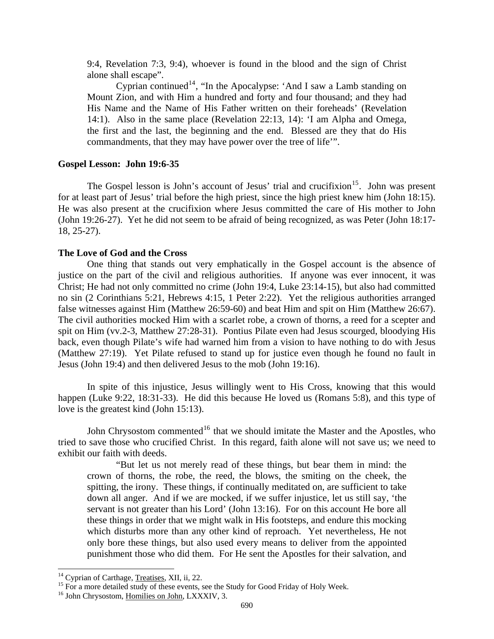<span id="page-10-0"></span>9:4, Revelation 7:3, 9:4), whoever is found in the blood and the sign of Christ alone shall escape".

Cyprian continued<sup>[14](#page-10-1)</sup>, "In the Apocalypse: 'And I saw a Lamb standing on Mount Zion, and with Him a hundred and forty and four thousand; and they had His Name and the Name of His Father written on their foreheads' (Revelation 14:1). Also in the same place (Revelation 22:13, 14): 'I am Alpha and Omega, the first and the last, the beginning and the end. Blessed are they that do His commandments, that they may have power over the tree of life'".

# **Gospel Lesson: John 19:6-35**

The Gospel lesson is John's account of Jesus' trial and crucifixion<sup>[15](#page-10-2)</sup>. John was present for at least part of Jesus' trial before the high priest, since the high priest knew him (John 18:15). He was also present at the crucifixion where Jesus committed the care of His mother to John (John 19:26-27). Yet he did not seem to be afraid of being recognized, as was Peter (John 18:17- 18, 25-27).

### **The Love of God and the Cross**

One thing that stands out very emphatically in the Gospel account is the absence of justice on the part of the civil and religious authorities. If anyone was ever innocent, it was Christ; He had not only committed no crime (John 19:4, Luke 23:14-15), but also had committed no sin (2 Corinthians 5:21, Hebrews 4:15, 1 Peter 2:22). Yet the religious authorities arranged false witnesses against Him (Matthew 26:59-60) and beat Him and spit on Him (Matthew 26:67). The civil authorities mocked Him with a scarlet robe, a crown of thorns, a reed for a scepter and spit on Him (vv.2-3, Matthew 27:28-31). Pontius Pilate even had Jesus scourged, bloodying His back, even though Pilate's wife had warned him from a vision to have nothing to do with Jesus (Matthew 27:19). Yet Pilate refused to stand up for justice even though he found no fault in Jesus (John 19:4) and then delivered Jesus to the mob (John 19:16).

In spite of this injustice, Jesus willingly went to His Cross, knowing that this would happen (Luke 9:22, 18:31-33). He did this because He loved us (Romans 5:8), and this type of love is the greatest kind (John 15:13).

John Chrysostom commented<sup>[16](#page-10-3)</sup> that we should imitate the Master and the Apostles, who tried to save those who crucified Christ. In this regard, faith alone will not save us; we need to exhibit our faith with deeds.

"But let us not merely read of these things, but bear them in mind: the crown of thorns, the robe, the reed, the blows, the smiting on the cheek, the spitting, the irony. These things, if continually meditated on, are sufficient to take down all anger. And if we are mocked, if we suffer injustice, let us still say, 'the servant is not greater than his Lord' (John 13:16). For on this account He bore all these things in order that we might walk in His footsteps, and endure this mocking which disturbs more than any other kind of reproach. Yet nevertheless, He not only bore these things, but also used every means to deliver from the appointed punishment those who did them. For He sent the Apostles for their salvation, and

<span id="page-10-1"></span><sup>&</sup>lt;sup>14</sup> Cyprian of Carthage, Treatises, XII, ii, 22.

<span id="page-10-2"></span><sup>&</sup>lt;sup>15</sup> For a more detailed study of these events, see the Study for Good Friday of Holy Week.  $^{16}$  John Chrysostom, Homilies on John, LXXXIV, 3.

<span id="page-10-3"></span>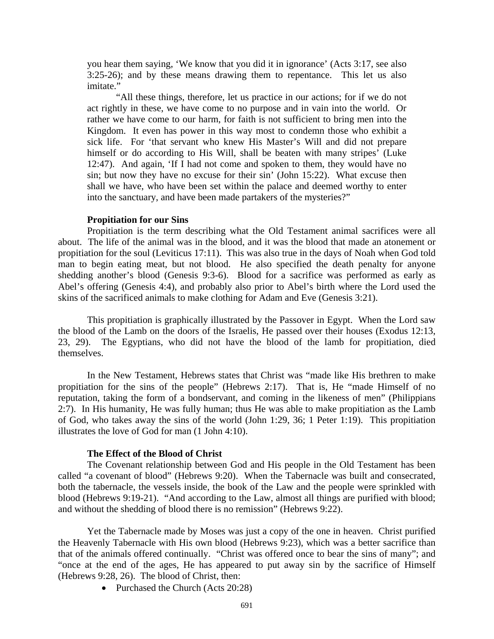<span id="page-11-0"></span>you hear them saying, 'We know that you did it in ignorance' (Acts 3:17, see also 3:25-26); and by these means drawing them to repentance. This let us also imitate."

"All these things, therefore, let us practice in our actions; for if we do not act rightly in these, we have come to no purpose and in vain into the world. Or rather we have come to our harm, for faith is not sufficient to bring men into the Kingdom. It even has power in this way most to condemn those who exhibit a sick life. For 'that servant who knew His Master's Will and did not prepare himself or do according to His Will, shall be beaten with many stripes' (Luke 12:47). And again, 'If I had not come and spoken to them, they would have no sin; but now they have no excuse for their sin' (John 15:22). What excuse then shall we have, who have been set within the palace and deemed worthy to enter into the sanctuary, and have been made partakers of the mysteries?"

#### **Propitiation for our Sins**

Propitiation is the term describing what the Old Testament animal sacrifices were all about. The life of the animal was in the blood, and it was the blood that made an atonement or propitiation for the soul (Leviticus 17:11). This was also true in the days of Noah when God told man to begin eating meat, but not blood. He also specified the death penalty for anyone shedding another's blood (Genesis 9:3-6). Blood for a sacrifice was performed as early as Abel's offering (Genesis 4:4), and probably also prior to Abel's birth where the Lord used the skins of the sacrificed animals to make clothing for Adam and Eve (Genesis 3:21).

This propitiation is graphically illustrated by the Passover in Egypt. When the Lord saw the blood of the Lamb on the doors of the Israelis, He passed over their houses (Exodus 12:13, 23, 29). The Egyptians, who did not have the blood of the lamb for propitiation, died themselves.

In the New Testament, Hebrews states that Christ was "made like His brethren to make propitiation for the sins of the people" (Hebrews 2:17). That is, He "made Himself of no reputation, taking the form of a bondservant, and coming in the likeness of men" (Philippians 2:7). In His humanity, He was fully human; thus He was able to make propitiation as the Lamb of God, who takes away the sins of the world (John 1:29, 36; 1 Peter 1:19). This propitiation illustrates the love of God for man (1 John 4:10).

#### **The Effect of the Blood of Christ**

The Covenant relationship between God and His people in the Old Testament has been called "a covenant of blood" (Hebrews 9:20). When the Tabernacle was built and consecrated, both the tabernacle, the vessels inside, the book of the Law and the people were sprinkled with blood (Hebrews 9:19-21). "And according to the Law, almost all things are purified with blood; and without the shedding of blood there is no remission" (Hebrews 9:22).

Yet the Tabernacle made by Moses was just a copy of the one in heaven. Christ purified the Heavenly Tabernacle with His own blood (Hebrews 9:23), which was a better sacrifice than that of the animals offered continually. "Christ was offered once to bear the sins of many"; and "once at the end of the ages, He has appeared to put away sin by the sacrifice of Himself (Hebrews 9:28, 26). The blood of Christ, then:

• Purchased the Church (Acts 20:28)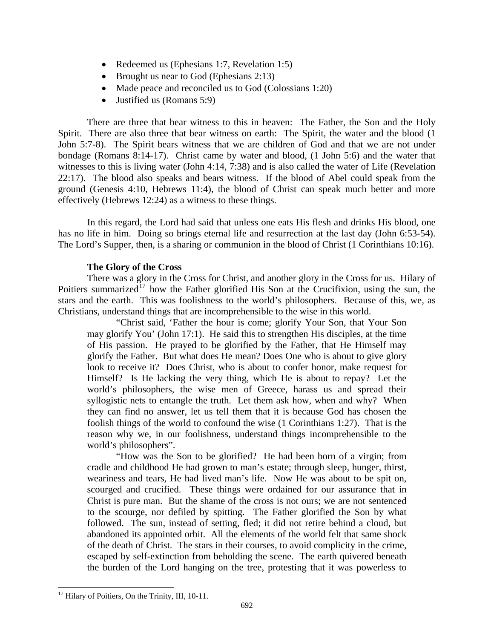- <span id="page-12-0"></span>• Redeemed us (Ephesians 1:7, Revelation 1:5)
- Brought us near to God (Ephesians 2:13)
- Made peace and reconciled us to God (Colossians 1:20)
- Justified us (Romans 5:9)

There are three that bear witness to this in heaven: The Father, the Son and the Holy Spirit. There are also three that bear witness on earth: The Spirit, the water and the blood (1) John 5:7-8). The Spirit bears witness that we are children of God and that we are not under bondage (Romans 8:14-17). Christ came by water and blood, (1 John 5:6) and the water that witnesses to this is living water (John 4:14, 7:38) and is also called the water of Life (Revelation 22:17). The blood also speaks and bears witness. If the blood of Abel could speak from the ground (Genesis 4:10, Hebrews 11:4), the blood of Christ can speak much better and more effectively (Hebrews 12:24) as a witness to these things.

In this regard, the Lord had said that unless one eats His flesh and drinks His blood, one has no life in him. Doing so brings eternal life and resurrection at the last day (John 6:53-54). The Lord's Supper, then, is a sharing or communion in the blood of Christ (1 Corinthians 10:16).

# **The Glory of the Cross**

There was a glory in the Cross for Christ, and another glory in the Cross for us. Hilary of Poitiers summarized<sup>[17](#page-12-1)</sup> how the Father glorified His Son at the Crucifixion, using the sun, the stars and the earth. This was foolishness to the world's philosophers. Because of this, we, as Christians, understand things that are incomprehensible to the wise in this world.

"Christ said, 'Father the hour is come; glorify Your Son, that Your Son may glorify You' (John 17:1). He said this to strengthen His disciples, at the time of His passion. He prayed to be glorified by the Father, that He Himself may glorify the Father. But what does He mean? Does One who is about to give glory look to receive it? Does Christ, who is about to confer honor, make request for Himself? Is He lacking the very thing, which He is about to repay? Let the world's philosophers, the wise men of Greece, harass us and spread their syllogistic nets to entangle the truth. Let them ask how, when and why? When they can find no answer, let us tell them that it is because God has chosen the foolish things of the world to confound the wise (1 Corinthians 1:27). That is the reason why we, in our foolishness, understand things incomprehensible to the world's philosophers".

"How was the Son to be glorified? He had been born of a virgin; from cradle and childhood He had grown to man's estate; through sleep, hunger, thirst, weariness and tears, He had lived man's life. Now He was about to be spit on, scourged and crucified. These things were ordained for our assurance that in Christ is pure man. But the shame of the cross is not ours; we are not sentenced to the scourge, nor defiled by spitting. The Father glorified the Son by what followed. The sun, instead of setting, fled; it did not retire behind a cloud, but abandoned its appointed orbit. All the elements of the world felt that same shock of the death of Christ. The stars in their courses, to avoid complicity in the crime, escaped by self-extinction from beholding the scene. The earth quivered beneath the burden of the Lord hanging on the tree, protesting that it was powerless to

<span id="page-12-1"></span> $\overline{a}$ <sup>17</sup> Hilary of Poitiers, On the Trinity, III, 10-11.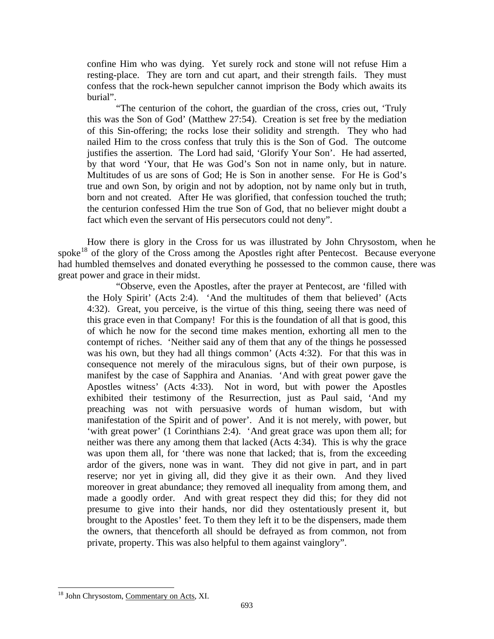confine Him who was dying. Yet surely rock and stone will not refuse Him a resting-place. They are torn and cut apart, and their strength fails. They must confess that the rock-hewn sepulcher cannot imprison the Body which awaits its burial".

"The centurion of the cohort, the guardian of the cross, cries out, 'Truly this was the Son of God' (Matthew 27:54). Creation is set free by the mediation of this Sin-offering; the rocks lose their solidity and strength. They who had nailed Him to the cross confess that truly this is the Son of God. The outcome justifies the assertion. The Lord had said, 'Glorify Your Son'. He had asserted, by that word 'Your, that He was God's Son not in name only, but in nature. Multitudes of us are sons of God; He is Son in another sense. For He is God's true and own Son, by origin and not by adoption, not by name only but in truth, born and not created. After He was glorified, that confession touched the truth; the centurion confessed Him the true Son of God, that no believer might doubt a fact which even the servant of His persecutors could not deny".

How there is glory in the Cross for us was illustrated by John Chrysostom, when he spoke<sup>[18](#page-13-0)</sup> of the glory of the Cross among the Apostles right after Pentecost. Because everyone had humbled themselves and donated everything he possessed to the common cause, there was great power and grace in their midst.

"Observe, even the Apostles, after the prayer at Pentecost, are 'filled with the Holy Spirit' (Acts 2:4). 'And the multitudes of them that believed' (Acts 4:32). Great, you perceive, is the virtue of this thing, seeing there was need of this grace even in that Company! For this is the foundation of all that is good, this of which he now for the second time makes mention, exhorting all men to the contempt of riches. 'Neither said any of them that any of the things he possessed was his own, but they had all things common' (Acts 4:32). For that this was in consequence not merely of the miraculous signs, but of their own purpose, is manifest by the case of Sapphira and Ananias. 'And with great power gave the Apostles witness' (Acts 4:33). Not in word, but with power the Apostles exhibited their testimony of the Resurrection, just as Paul said, 'And my preaching was not with persuasive words of human wisdom, but with manifestation of the Spirit and of power'. And it is not merely, with power, but 'with great power' (1 Corinthians 2:4). 'And great grace was upon them all; for neither was there any among them that lacked (Acts 4:34). This is why the grace was upon them all, for 'there was none that lacked; that is, from the exceeding ardor of the givers, none was in want. They did not give in part, and in part reserve; nor yet in giving all, did they give it as their own. And they lived moreover in great abundance; they removed all inequality from among them, and made a goodly order. And with great respect they did this; for they did not presume to give into their hands, nor did they ostentatiously present it, but brought to the Apostles' feet. To them they left it to be the dispensers, made them the owners, that thenceforth all should be defrayed as from common, not from private, property. This was also helpful to them against vainglory".

<span id="page-13-0"></span><sup>&</sup>lt;sup>18</sup> John Chrysostom, Commentary on Acts, XI.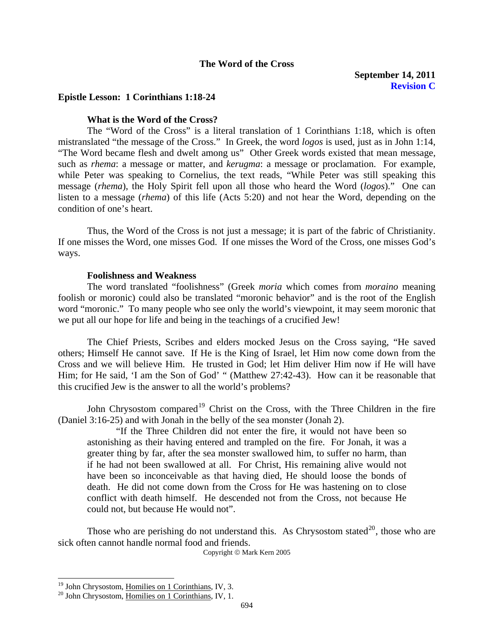## **The Word of the Cross**

# <span id="page-14-0"></span>**Epistle Lesson: 1 Corinthians 1:18-24**

# **What is the Word of the Cross?**

The "Word of the Cross" is a literal translation of 1 Corinthians 1:18, which is often mistranslated "the message of the Cross." In Greek, the word *logos* is used, just as in John 1:14, "The Word became flesh and dwelt among us" Other Greek words existed that mean message, such as *rhema*: a message or matter, and *kerugma*: a message or proclamation. For example, while Peter was speaking to Cornelius, the text reads, "While Peter was still speaking this message (*rhema*), the Holy Spirit fell upon all those who heard the Word (*logos*)." One can listen to a message (*rhema*) of this life (Acts 5:20) and not hear the Word, depending on the condition of one's heart.

Thus, the Word of the Cross is not just a message; it is part of the fabric of Christianity. If one misses the Word, one misses God. If one misses the Word of the Cross, one misses God's ways.

#### **Foolishness and Weakness**

The word translated "foolishness" (Greek *moria* which comes from *moraino* meaning foolish or moronic) could also be translated "moronic behavior" and is the root of the English word "moronic." To many people who see only the world's viewpoint, it may seem moronic that we put all our hope for life and being in the teachings of a crucified Jew!

The Chief Priests, Scribes and elders mocked Jesus on the Cross saying, "He saved others; Himself He cannot save. If He is the King of Israel, let Him now come down from the Cross and we will believe Him. He trusted in God; let Him deliver Him now if He will have Him; for He said, 'I am the Son of God' " (Matthew 27:42-43). How can it be reasonable that this crucified Jew is the answer to all the world's problems?

John Chrysostom compared<sup>[19](#page-14-1)</sup> Christ on the Cross, with the Three Children in the fire (Daniel 3:16-25) and with Jonah in the belly of the sea monster (Jonah 2).

"If the Three Children did not enter the fire, it would not have been so astonishing as their having entered and trampled on the fire. For Jonah, it was a greater thing by far, after the sea monster swallowed him, to suffer no harm, than if he had not been swallowed at all. For Christ, His remaining alive would not have been so inconceivable as that having died, He should loose the bonds of death. He did not come down from the Cross for He was hastening on to close conflict with death himself. He descended not from the Cross, not because He could not, but because He would not".

Those who are perishing do not understand this. As Chrysostom stated<sup>[20](#page-14-2)</sup>, those who are sick often cannot handle normal food and friends.

Copyright © Mark Kern 2005

<span id="page-14-1"></span> $19$  John Chrysostom, Homilies on 1 Corinthians, IV, 3.

<span id="page-14-2"></span><sup>&</sup>lt;sup>20</sup> John Chrysostom, Homilies on 1 Corinthians, IV, 1.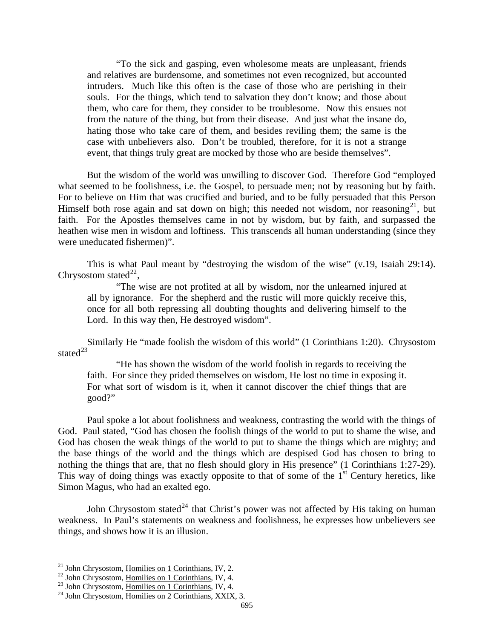"To the sick and gasping, even wholesome meats are unpleasant, friends and relatives are burdensome, and sometimes not even recognized, but accounted intruders. Much like this often is the case of those who are perishing in their souls. For the things, which tend to salvation they don't know; and those about them, who care for them, they consider to be troublesome. Now this ensues not from the nature of the thing, but from their disease. And just what the insane do, hating those who take care of them, and besides reviling them; the same is the case with unbelievers also. Don't be troubled, therefore, for it is not a strange event, that things truly great are mocked by those who are beside themselves".

But the wisdom of the world was unwilling to discover God. Therefore God "employed what seemed to be foolishness, i.e. the Gospel, to persuade men; not by reasoning but by faith. For to believe on Him that was crucified and buried, and to be fully persuaded that this Person Himself both rose again and sat down on high; this needed not wisdom, nor reasoning<sup>[21](#page-15-0)</sup>, but faith. For the Apostles themselves came in not by wisdom, but by faith, and surpassed the heathen wise men in wisdom and loftiness. This transcends all human understanding (since they were uneducated fishermen)".

This is what Paul meant by "destroying the wisdom of the wise" (v.19, Isaiah 29:14). Chrysostom stated<sup>[22](#page-15-1)</sup>,

"The wise are not profited at all by wisdom, nor the unlearned injured at all by ignorance. For the shepherd and the rustic will more quickly receive this, once for all both repressing all doubting thoughts and delivering himself to the Lord. In this way then, He destroyed wisdom".

Similarly He "made foolish the wisdom of this world" (1 Corinthians 1:20). Chrysostom stated<sup>[23](#page-15-2)</sup>

"He has shown the wisdom of the world foolish in regards to receiving the faith. For since they prided themselves on wisdom, He lost no time in exposing it. For what sort of wisdom is it, when it cannot discover the chief things that are good?"

Paul spoke a lot about foolishness and weakness, contrasting the world with the things of God. Paul stated, "God has chosen the foolish things of the world to put to shame the wise, and God has chosen the weak things of the world to put to shame the things which are mighty; and the base things of the world and the things which are despised God has chosen to bring to nothing the things that are, that no flesh should glory in His presence" (1 Corinthians 1:27-29). This way of doing things was exactly opposite to that of some of the  $1<sup>st</sup>$  Century heretics, like Simon Magus, who had an exalted ego.

John Chrysostom stated<sup>[24](#page-15-3)</sup> that Christ's power was not affected by His taking on human weakness. In Paul's statements on weakness and foolishness, he expresses how unbelievers see things, and shows how it is an illusion.

<span id="page-15-2"></span><span id="page-15-1"></span>

<span id="page-15-0"></span><sup>&</sup>lt;sup>21</sup> John Chrysostom, <u>Homilies on 1 Corinthians</u>, IV, 2.<br><sup>22</sup> John Chrysostom, <u>Homilies on 1 Corinthians</u>, IV, 4.<br><sup>24</sup> John Chrysostom, Homilies on 2 Corinthians, XXIX, 3.

<span id="page-15-3"></span>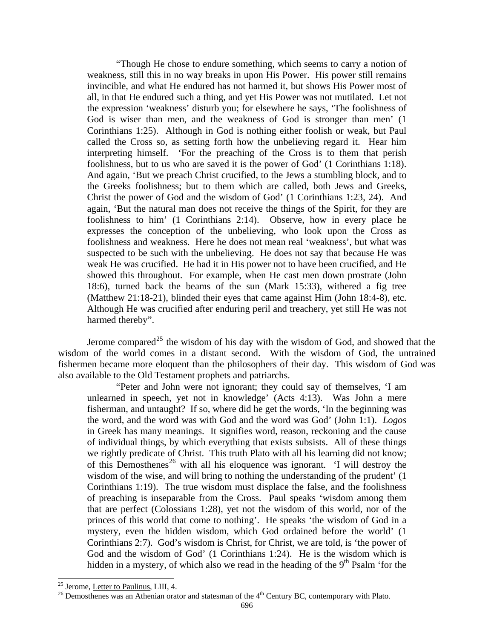"Though He chose to endure something, which seems to carry a notion of weakness, still this in no way breaks in upon His Power. His power still remains invincible, and what He endured has not harmed it, but shows His Power most of all, in that He endured such a thing, and yet His Power was not mutilated. Let not the expression 'weakness' disturb you; for elsewhere he says, 'The foolishness of God is wiser than men, and the weakness of God is stronger than men' (1 Corinthians 1:25). Although in God is nothing either foolish or weak, but Paul called the Cross so, as setting forth how the unbelieving regard it. Hear him interpreting himself. 'For the preaching of the Cross is to them that perish foolishness, but to us who are saved it is the power of God' (1 Corinthians 1:18). And again, 'But we preach Christ crucified, to the Jews a stumbling block, and to the Greeks foolishness; but to them which are called, both Jews and Greeks, Christ the power of God and the wisdom of God' (1 Corinthians 1:23, 24). And again, 'But the natural man does not receive the things of the Spirit, for they are foolishness to him' (1 Corinthians 2:14). Observe, how in every place he expresses the conception of the unbelieving, who look upon the Cross as foolishness and weakness. Here he does not mean real 'weakness', but what was suspected to be such with the unbelieving. He does not say that because He was weak He was crucified. He had it in His power not to have been crucified, and He showed this throughout. For example, when He cast men down prostrate (John 18:6), turned back the beams of the sun (Mark 15:33), withered a fig tree (Matthew 21:18-21), blinded their eyes that came against Him (John 18:4-8), etc. Although He was crucified after enduring peril and treachery, yet still He was not harmed thereby".

Jerome compared<sup>[25](#page-16-0)</sup> the wisdom of his day with the wisdom of God, and showed that the wisdom of the world comes in a distant second. With the wisdom of God, the untrained fishermen became more eloquent than the philosophers of their day. This wisdom of God was also available to the Old Testament prophets and patriarchs.

"Peter and John were not ignorant; they could say of themselves, 'I am unlearned in speech, yet not in knowledge' (Acts 4:13). Was John a mere fisherman, and untaught? If so, where did he get the words, 'In the beginning was the word, and the word was with God and the word was God' (John 1:1). *Logos*  in Greek has many meanings. It signifies word, reason, reckoning and the cause of individual things, by which everything that exists subsists. All of these things we rightly predicate of Christ. This truth Plato with all his learning did not know; of this Demosthenes<sup>[26](#page-16-1)</sup> with all his eloquence was ignorant. 'I will destroy the wisdom of the wise, and will bring to nothing the understanding of the prudent' (1 Corinthians 1:19). The true wisdom must displace the false, and the foolishness of preaching is inseparable from the Cross. Paul speaks 'wisdom among them that are perfect (Colossians 1:28), yet not the wisdom of this world, nor of the princes of this world that come to nothing'. He speaks 'the wisdom of God in a mystery, even the hidden wisdom, which God ordained before the world' (1 Corinthians 2:7). God's wisdom is Christ, for Christ, we are told, is 'the power of God and the wisdom of God' (1 Corinthians 1:24). He is the wisdom which is hidden in a mystery, of which also we read in the heading of the  $9<sup>th</sup>$  Psalm 'for the

<span id="page-16-0"></span><sup>&</sup>lt;sup>25</sup> Jerome, Letter to Paulinus, LIII, 4.

<span id="page-16-1"></span> $^{26}$  Demosthenes was an Athenian orator and statesman of the  $4<sup>th</sup>$  Century BC, contemporary with Plato.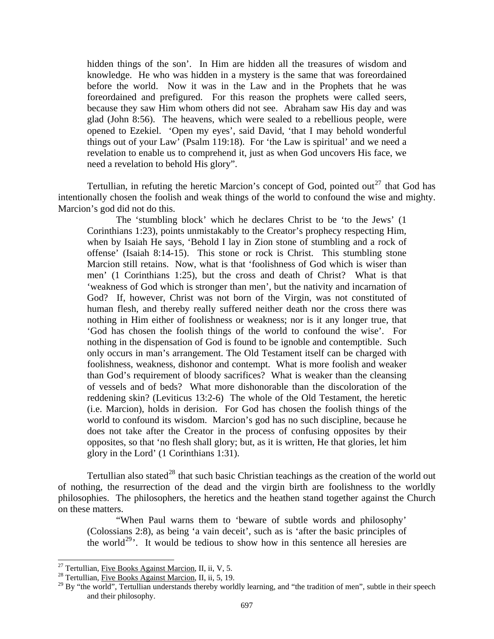hidden things of the son'. In Him are hidden all the treasures of wisdom and knowledge. He who was hidden in a mystery is the same that was foreordained before the world. Now it was in the Law and in the Prophets that he was foreordained and prefigured. For this reason the prophets were called seers, because they saw Him whom others did not see. Abraham saw His day and was glad (John 8:56). The heavens, which were sealed to a rebellious people, were opened to Ezekiel. 'Open my eyes', said David, 'that I may behold wonderful things out of your Law' (Psalm 119:18). For 'the Law is spiritual' and we need a revelation to enable us to comprehend it, just as when God uncovers His face, we need a revelation to behold His glory".

Tertullian, in refuting the heretic Marcion's concept of God, pointed out<sup>[27](#page-17-0)</sup> that God has intentionally chosen the foolish and weak things of the world to confound the wise and mighty. Marcion's god did not do this.

The 'stumbling block' which he declares Christ to be 'to the Jews' (1 Corinthians 1:23), points unmistakably to the Creator's prophecy respecting Him, when by Isaiah He says, 'Behold I lay in Zion stone of stumbling and a rock of offense' (Isaiah 8:14-15). This stone or rock is Christ. This stumbling stone Marcion still retains. Now, what is that 'foolishness of God which is wiser than men' (1 Corinthians 1:25), but the cross and death of Christ? What is that 'weakness of God which is stronger than men', but the nativity and incarnation of God? If, however, Christ was not born of the Virgin, was not constituted of human flesh, and thereby really suffered neither death nor the cross there was nothing in Him either of foolishness or weakness; nor is it any longer true, that 'God has chosen the foolish things of the world to confound the wise'. For nothing in the dispensation of God is found to be ignoble and contemptible. Such only occurs in man's arrangement. The Old Testament itself can be charged with foolishness, weakness, dishonor and contempt. What is more foolish and weaker than God's requirement of bloody sacrifices? What is weaker than the cleansing of vessels and of beds? What more dishonorable than the discoloration of the reddening skin? (Leviticus 13:2-6) The whole of the Old Testament, the heretic (i.e. Marcion), holds in derision. For God has chosen the foolish things of the world to confound its wisdom. Marcion's god has no such discipline, because he does not take after the Creator in the process of confusing opposites by their opposites, so that 'no flesh shall glory; but, as it is written, He that glories, let him glory in the Lord' (1 Corinthians 1:31).

Tertullian also stated<sup>[28](#page-17-1)</sup> that such basic Christian teachings as the creation of the world out of nothing, the resurrection of the dead and the virgin birth are foolishness to the worldly philosophies. The philosophers, the heretics and the heathen stand together against the Church on these matters.

"When Paul warns them to 'beware of subtle words and philosophy' (Colossians 2:8), as being 'a vain deceit', such as is 'after the basic principles of the world<sup>[29](#page-17-2)</sup>. It would be tedious to show how in this sentence all heresies are

<sup>&</sup>lt;sup>27</sup> Tertullian, Five Books Against Marcion, II, ii, V, 5.

<span id="page-17-1"></span><span id="page-17-0"></span><sup>&</sup>lt;sup>28</sup> Tertullian, Five Books Against Marcion, II, ii, 5, 19.

<span id="page-17-2"></span><sup>&</sup>lt;sup>29</sup> By "the world", Tertullian understands thereby worldly learning, and "the tradition of men", subtle in their speech and their philosophy.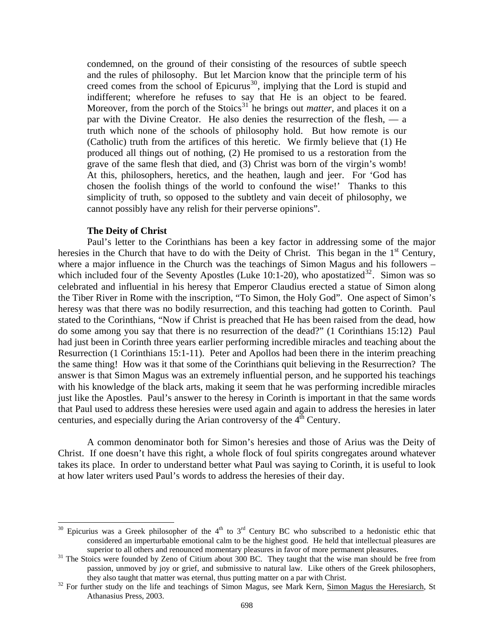<span id="page-18-0"></span>condemned, on the ground of their consisting of the resources of subtle speech and the rules of philosophy. But let Marcion know that the principle term of his creed comes from the school of Epicurus<sup>[30](#page-18-1)</sup>, implying that the Lord is stupid and indifferent; wherefore he refuses to say that He is an object to be feared. Moreover, from the porch of the Stoics<sup>[31](#page-18-2)</sup> he brings out *matter*, and places it on a par with the Divine Creator. He also denies the resurrection of the flesh, — a truth which none of the schools of philosophy hold. But how remote is our (Catholic) truth from the artifices of this heretic. We firmly believe that (1) He produced all things out of nothing, (2) He promised to us a restoration from the grave of the same flesh that died, and (3) Christ was born of the virgin's womb! At this, philosophers, heretics, and the heathen, laugh and jeer. For 'God has chosen the foolish things of the world to confound the wise!' Thanks to this simplicity of truth, so opposed to the subtlety and vain deceit of philosophy, we cannot possibly have any relish for their perverse opinions".

# **The Deity of Christ**

l

Paul's letter to the Corinthians has been a key factor in addressing some of the major heresies in the Church that have to do with the Deity of Christ. This began in the  $1<sup>st</sup>$  Century, where a major influence in the Church was the teachings of Simon Magus and his followers – which included four of the Seventy Apostles (Luke 10:1-20), who apostatized<sup>[32](#page-18-3)</sup>. Simon was so celebrated and influential in his heresy that Emperor Claudius erected a statue of Simon along the Tiber River in Rome with the inscription, "To Simon, the Holy God". One aspect of Simon's heresy was that there was no bodily resurrection, and this teaching had gotten to Corinth. Paul stated to the Corinthians, "Now if Christ is preached that He has been raised from the dead, how do some among you say that there is no resurrection of the dead?" (1 Corinthians 15:12) Paul had just been in Corinth three years earlier performing incredible miracles and teaching about the Resurrection (1 Corinthians 15:1-11). Peter and Apollos had been there in the interim preaching the same thing! How was it that some of the Corinthians quit believing in the Resurrection? The answer is that Simon Magus was an extremely influential person, and he supported his teachings with his knowledge of the black arts, making it seem that he was performing incredible miracles just like the Apostles. Paul's answer to the heresy in Corinth is important in that the same words that Paul used to address these heresies were used again and again to address the heresies in later centuries, and especially during the Arian controversy of the  $4<sup>th</sup>$  Century.

A common denominator both for Simon's heresies and those of Arius was the Deity of Christ. If one doesn't have this right, a whole flock of foul spirits congregates around whatever takes its place. In order to understand better what Paul was saying to Corinth, it is useful to look at how later writers used Paul's words to address the heresies of their day.

<span id="page-18-1"></span> $30$  Epicurius was a Greek philosopher of the 4<sup>th</sup> to 3<sup>rd</sup> Century BC who subscribed to a hedonistic ethic that considered an imperturbable emotional calm to be the highest good. He held that intellectual pleasures are superior to all others and renounced momentary pleasures in favor of more permanent pleasures.<br><sup>31</sup> The Stoics were founded by Zeno of Citium about 300 BC. They taught that the wise man should be free from

<span id="page-18-2"></span>passion, unmoved by joy or grief, and submissive to natural law. Like others of the Greek philosophers, they also taught that matter was eternal, thus putting matter on a par with Christ.<br><sup>32</sup> For further study on the life and teachings of Simon Magus, see Mark Kern, <u>Simon Magus the Heresiarch</u>, St

<span id="page-18-3"></span>Athanasius Press, 2003.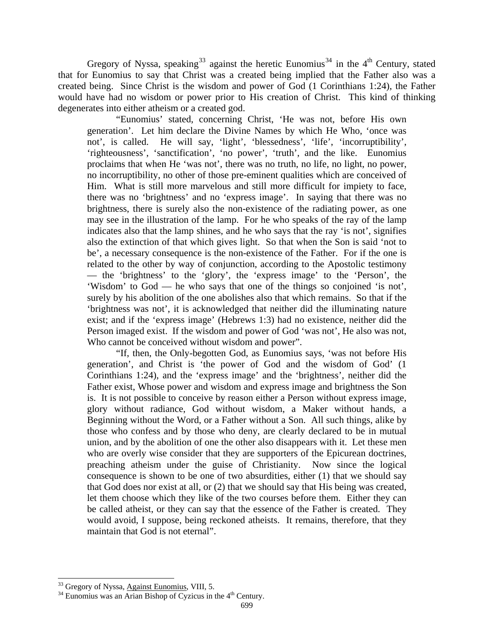Gregory of Nyssa, speaking<sup>[33](#page-19-0)</sup> against the heretic Eunomius<sup>[34](#page-19-1)</sup> in the 4<sup>th</sup> Century, stated that for Eunomius to say that Christ was a created being implied that the Father also was a created being. Since Christ is the wisdom and power of God (1 Corinthians 1:24), the Father would have had no wisdom or power prior to His creation of Christ. This kind of thinking degenerates into either atheism or a created god.

"Eunomius' stated, concerning Christ, 'He was not, before His own generation'. Let him declare the Divine Names by which He Who, 'once was not', is called. He will say, 'light', 'blessedness', 'life', 'incorruptibility', 'righteousness', 'sanctification', 'no power', 'truth', and the like. Eunomius proclaims that when He 'was not', there was no truth, no life, no light, no power, no incorruptibility, no other of those pre-eminent qualities which are conceived of Him. What is still more marvelous and still more difficult for impiety to face, there was no 'brightness' and no 'express image'. In saying that there was no brightness, there is surely also the non-existence of the radiating power, as one may see in the illustration of the lamp. For he who speaks of the ray of the lamp indicates also that the lamp shines, and he who says that the ray 'is not', signifies also the extinction of that which gives light. So that when the Son is said 'not to be', a necessary consequence is the non-existence of the Father. For if the one is related to the other by way of conjunction, according to the Apostolic testimony — the 'brightness' to the 'glory', the 'express image' to the 'Person', the 'Wisdom' to God — he who says that one of the things so conjoined 'is not', surely by his abolition of the one abolishes also that which remains. So that if the 'brightness was not', it is acknowledged that neither did the illuminating nature exist; and if the 'express image' (Hebrews 1:3) had no existence, neither did the Person imaged exist. If the wisdom and power of God 'was not', He also was not, Who cannot be conceived without wisdom and power".

"If, then, the Only-begotten God, as Eunomius says, 'was not before His generation', and Christ is 'the power of God and the wisdom of God' (1 Corinthians 1:24), and the 'express image' and the 'brightness', neither did the Father exist, Whose power and wisdom and express image and brightness the Son is. It is not possible to conceive by reason either a Person without express image, glory without radiance, God without wisdom, a Maker without hands, a Beginning without the Word, or a Father without a Son. All such things, alike by those who confess and by those who deny, are clearly declared to be in mutual union, and by the abolition of one the other also disappears with it. Let these men who are overly wise consider that they are supporters of the Epicurean doctrines, preaching atheism under the guise of Christianity. Now since the logical consequence is shown to be one of two absurdities, either (1) that we should say that God does nor exist at all, or (2) that we should say that His being was created, let them choose which they like of the two courses before them. Either they can be called atheist, or they can say that the essence of the Father is created. They would avoid, I suppose, being reckoned atheists. It remains, therefore, that they maintain that God is not eternal".

<span id="page-19-0"></span><sup>&</sup>lt;sup>33</sup> Gregory of Nyssa, Against Eunomius, VIII, 5.

<span id="page-19-1"></span><sup>&</sup>lt;sup>34</sup> Eunomius was an Arian Bishop of Cyzicus in the 4<sup>th</sup> Century.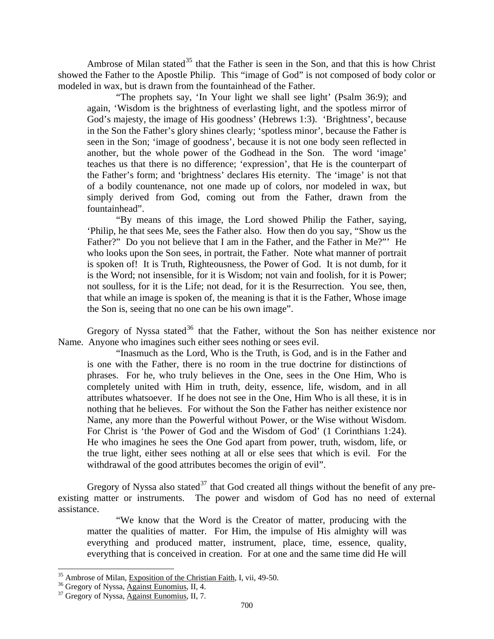Ambrose of Milan stated<sup>[35](#page-20-0)</sup> that the Father is seen in the Son, and that this is how Christ showed the Father to the Apostle Philip. This "image of God" is not composed of body color or modeled in wax, but is drawn from the fountainhead of the Father.

"The prophets say, 'In Your light we shall see light' (Psalm 36:9); and again, 'Wisdom is the brightness of everlasting light, and the spotless mirror of God's majesty, the image of His goodness' (Hebrews 1:3). 'Brightness', because in the Son the Father's glory shines clearly; 'spotless minor', because the Father is seen in the Son; 'image of goodness', because it is not one body seen reflected in another, but the whole power of the Godhead in the Son. The word 'image' teaches us that there is no difference; 'expression', that He is the counterpart of the Father's form; and 'brightness' declares His eternity. The 'image' is not that of a bodily countenance, not one made up of colors, nor modeled in wax, but simply derived from God, coming out from the Father, drawn from the fountainhead".

"By means of this image, the Lord showed Philip the Father, saying, 'Philip, he that sees Me, sees the Father also. How then do you say, "Show us the Father?" Do you not believe that I am in the Father, and the Father in Me?"' He who looks upon the Son sees, in portrait, the Father. Note what manner of portrait is spoken of! It is Truth, Righteousness, the Power of God. It is not dumb, for it is the Word; not insensible, for it is Wisdom; not vain and foolish, for it is Power; not soulless, for it is the Life; not dead, for it is the Resurrection. You see, then, that while an image is spoken of, the meaning is that it is the Father, Whose image the Son is, seeing that no one can be his own image".

Gregory of Nyssa stated<sup>[36](#page-20-1)</sup> that the Father, without the Son has neither existence nor Name. Anyone who imagines such either sees nothing or sees evil.

"Inasmuch as the Lord, Who is the Truth, is God, and is in the Father and is one with the Father, there is no room in the true doctrine for distinctions of phrases. For he, who truly believes in the One, sees in the One Him, Who is completely united with Him in truth, deity, essence, life, wisdom, and in all attributes whatsoever. If he does not see in the One, Him Who is all these, it is in nothing that he believes. For without the Son the Father has neither existence nor Name, any more than the Powerful without Power, or the Wise without Wisdom. For Christ is 'the Power of God and the Wisdom of God' (1 Corinthians 1:24). He who imagines he sees the One God apart from power, truth, wisdom, life, or the true light, either sees nothing at all or else sees that which is evil. For the withdrawal of the good attributes becomes the origin of evil".

Gregory of Nyssa also stated<sup>[37](#page-20-2)</sup> that God created all things without the benefit of any preexisting matter or instruments. The power and wisdom of God has no need of external assistance.

"We know that the Word is the Creator of matter, producing with the matter the qualities of matter. For Him, the impulse of His almighty will was everything and produced matter, instrument, place, time, essence, quality, everything that is conceived in creation. For at one and the same time did He will

<span id="page-20-0"></span><sup>&</sup>lt;sup>35</sup> Ambrose of Milan, <u>Exposition of the Christian Faith</u>, I, vii, 49-50.<br><sup>36</sup> Gregory of Nyssa, <u>Against Eunomius</u>, II, 4.<br><sup>37</sup> Gregory of Nyssa, <u>Against Eunomius</u>, II, 7.

<span id="page-20-1"></span>

<span id="page-20-2"></span>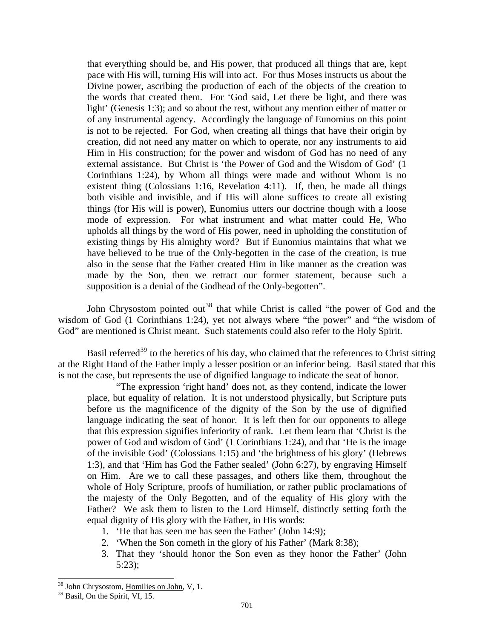that everything should be, and His power, that produced all things that are, kept pace with His will, turning His will into act. For thus Moses instructs us about the Divine power, ascribing the production of each of the objects of the creation to the words that created them. For 'God said, Let there be light, and there was light' (Genesis 1:3); and so about the rest, without any mention either of matter or of any instrumental agency. Accordingly the language of Eunomius on this point is not to be rejected. For God, when creating all things that have their origin by creation, did not need any matter on which to operate, nor any instruments to aid Him in His construction; for the power and wisdom of God has no need of any external assistance. But Christ is 'the Power of God and the Wisdom of God' (1 Corinthians 1:24), by Whom all things were made and without Whom is no existent thing (Colossians 1:16, Revelation 4:11). If, then, he made all things both visible and invisible, and if His will alone suffices to create all existing things (for His will is power), Eunomius utters our doctrine though with a loose mode of expression. For what instrument and what matter could He, Who upholds all things by the word of His power, need in upholding the constitution of existing things by His almighty word? But if Eunomius maintains that what we have believed to be true of the Only-begotten in the case of the creation, is true also in the sense that the Father created Him in like manner as the creation was made by the Son, then we retract our former statement, because such a supposition is a denial of the Godhead of the Only-begotten".

John Chrysostom pointed out<sup>[38](#page-21-0)</sup> that while Christ is called "the power of God and the wisdom of God (1 Corinthians 1:24), yet not always where "the power" and "the wisdom of God" are mentioned is Christ meant. Such statements could also refer to the Holy Spirit.

Basil referred<sup>[39](#page-21-1)</sup> to the heretics of his day, who claimed that the references to Christ sitting at the Right Hand of the Father imply a lesser position or an inferior being. Basil stated that this is not the case, but represents the use of dignified language to indicate the seat of honor.

"The expression 'right hand' does not, as they contend, indicate the lower place, but equality of relation. It is not understood physically, but Scripture puts before us the magnificence of the dignity of the Son by the use of dignified language indicating the seat of honor. It is left then for our opponents to allege that this expression signifies inferiority of rank. Let them learn that 'Christ is the power of God and wisdom of God' (1 Corinthians 1:24), and that 'He is the image of the invisible God' (Colossians 1:15) and 'the brightness of his glory' (Hebrews 1:3), and that 'Him has God the Father sealed' (John 6:27), by engraving Himself on Him. Are we to call these passages, and others like them, throughout the whole of Holy Scripture, proofs of humiliation, or rather public proclamations of the majesty of the Only Begotten, and of the equality of His glory with the Father? We ask them to listen to the Lord Himself, distinctly setting forth the equal dignity of His glory with the Father, in His words:

- 1. 'He that has seen me has seen the Father' (John 14:9);
- 2. 'When the Son cometh in the glory of his Father' (Mark 8:38);
- 3. That they 'should honor the Son even as they honor the Father' (John 5:23);

l

<span id="page-21-0"></span><sup>&</sup>lt;sup>38</sup> John Chrysostom, Homilies on John, V, 1.

<span id="page-21-1"></span><sup>&</sup>lt;sup>39</sup> Basil, On the Spirit, VI, 15.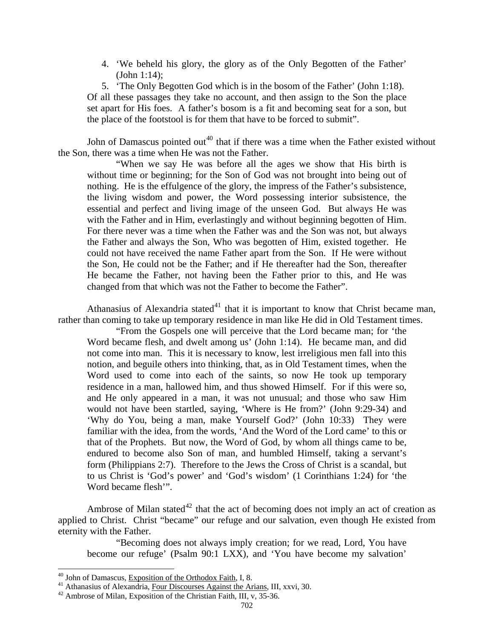4. 'We beheld his glory, the glory as of the Only Begotten of the Father' (John 1:14);

5. 'The Only Begotten God which is in the bosom of the Father' (John 1:18). Of all these passages they take no account, and then assign to the Son the place set apart for His foes. A father's bosom is a fit and becoming seat for a son, but the place of the footstool is for them that have to be forced to submit".

John of Damascus pointed out<sup>[40](#page-22-0)</sup> that if there was a time when the Father existed without the Son, there was a time when He was not the Father.

"When we say He was before all the ages we show that His birth is without time or beginning; for the Son of God was not brought into being out of nothing. He is the effulgence of the glory, the impress of the Father's subsistence, the living wisdom and power, the Word possessing interior subsistence, the essential and perfect and living image of the unseen God. But always He was with the Father and in Him, everlastingly and without beginning begotten of Him. For there never was a time when the Father was and the Son was not, but always the Father and always the Son, Who was begotten of Him, existed together. He could not have received the name Father apart from the Son. If He were without the Son, He could not be the Father; and if He thereafter had the Son, thereafter He became the Father, not having been the Father prior to this, and He was changed from that which was not the Father to become the Father".

Athanasius of Alexandria stated<sup>[41](#page-22-1)</sup> that it is important to know that Christ became man, rather than coming to take up temporary residence in man like He did in Old Testament times.

"From the Gospels one will perceive that the Lord became man; for 'the Word became flesh, and dwelt among us' (John 1:14). He became man, and did not come into man. This it is necessary to know, lest irreligious men fall into this notion, and beguile others into thinking, that, as in Old Testament times, when the Word used to come into each of the saints, so now He took up temporary residence in a man, hallowed him, and thus showed Himself. For if this were so, and He only appeared in a man, it was not unusual; and those who saw Him would not have been startled, saying, 'Where is He from?' (John 9:29-34) and 'Why do You, being a man, make Yourself God?' (John 10:33) They were familiar with the idea, from the words, 'And the Word of the Lord came' to this or that of the Prophets. But now, the Word of God, by whom all things came to be, endured to become also Son of man, and humbled Himself, taking a servant's form (Philippians 2:7). Therefore to the Jews the Cross of Christ is a scandal, but to us Christ is 'God's power' and 'God's wisdom' (1 Corinthians 1:24) for 'the Word became flesh'".

Ambrose of Milan stated<sup>[42](#page-22-2)</sup> that the act of becoming does not imply an act of creation as applied to Christ. Christ "became" our refuge and our salvation, even though He existed from eternity with the Father.

"Becoming does not always imply creation; for we read, Lord, You have become our refuge' (Psalm 90:1 LXX), and 'You have become my salvation'

<span id="page-22-0"></span><sup>&</sup>lt;sup>40</sup> John of Damascus, <u>Exposition of the Orthodox Faith</u>, I, 8.<br><sup>41</sup> Athanasius of Alexandria, <u>Four Discourses Against the Arians</u>, III, xxvi, 30.<br><sup>42</sup> Ambrose of Milan, Exposition of the Christian Faith, III, v, 35-36.

<span id="page-22-2"></span><span id="page-22-1"></span>